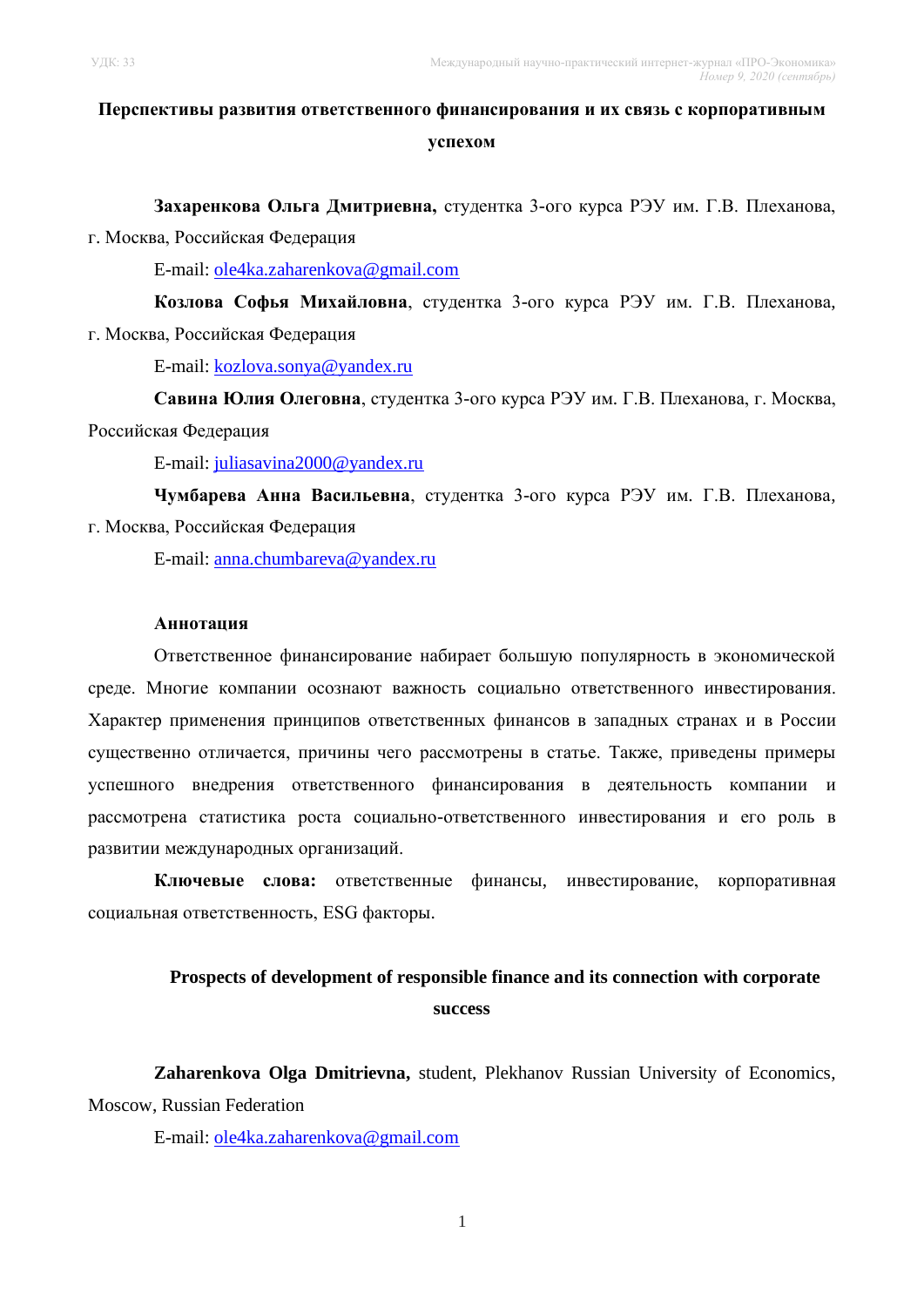# **Перспективы развития ответственного финансирования и их связь с корпоративным успехом**

**Захаренкова Ольга Дмитриевна,** студентка 3-ого курса РЭУ им. Г.В. Плеханова,

г. Москва, Российская Федерация

E-mail: [ole4ka.zaharenkova@gmail.com](mailto:ole4ka.zaharenkova@gmail.com)

**Козлова Софья Михайловна**, студентка 3-ого курса РЭУ им. Г.В. Плеханова, г. Москва, Российская Федерация

E-mail: [kozlova.sonya@yandex.ru](mailto:kozlova.sonya@yandex.ru)

**Савина Юлия Олеговна**, студентка 3-ого курса РЭУ им. Г.В. Плеханова, г. Москва, Российская Федерация

E-mail: [juliasavina2000@yandex.ru](mailto:juliasavina2000@yandex.ru)

**Чумбарева Анна Васильевна**, студентка 3-ого курса РЭУ им. Г.В. Плеханова, г. Москва, Российская Федерация

E-mail: [anna.chumbareva@yandex.ru](mailto:anna.chumbareva@yandex.ru)

### **Аннотация**

Ответственное финансирование набирает большую популярность в экономической среде. Многие компании осознают важность социально ответственного инвестирования. Характер применения принципов ответственных финансов в западных странах и в России существенно отличается, причины чего рассмотрены в статье. Также, приведены примеры успешного внедрения ответственного финансирования в деятельность компании и рассмотрена статистика роста социально-ответственного инвестирования и его роль в развитии международных организаций.

**Ключевые слова:** ответственные финансы, инвестирование, корпоративная социальная ответственность, ESG факторы.

## **Prospects of development of responsible finance and its connection with corporate success**

**Zaharenkova Olga Dmitrievna,** student, Plekhanov Russian University of Economics, Moscow, Russian Federation

E-mail: [ole4ka.zaharenkova@gmail.com](mailto:ole4ka.zaharenkova@gmail.com)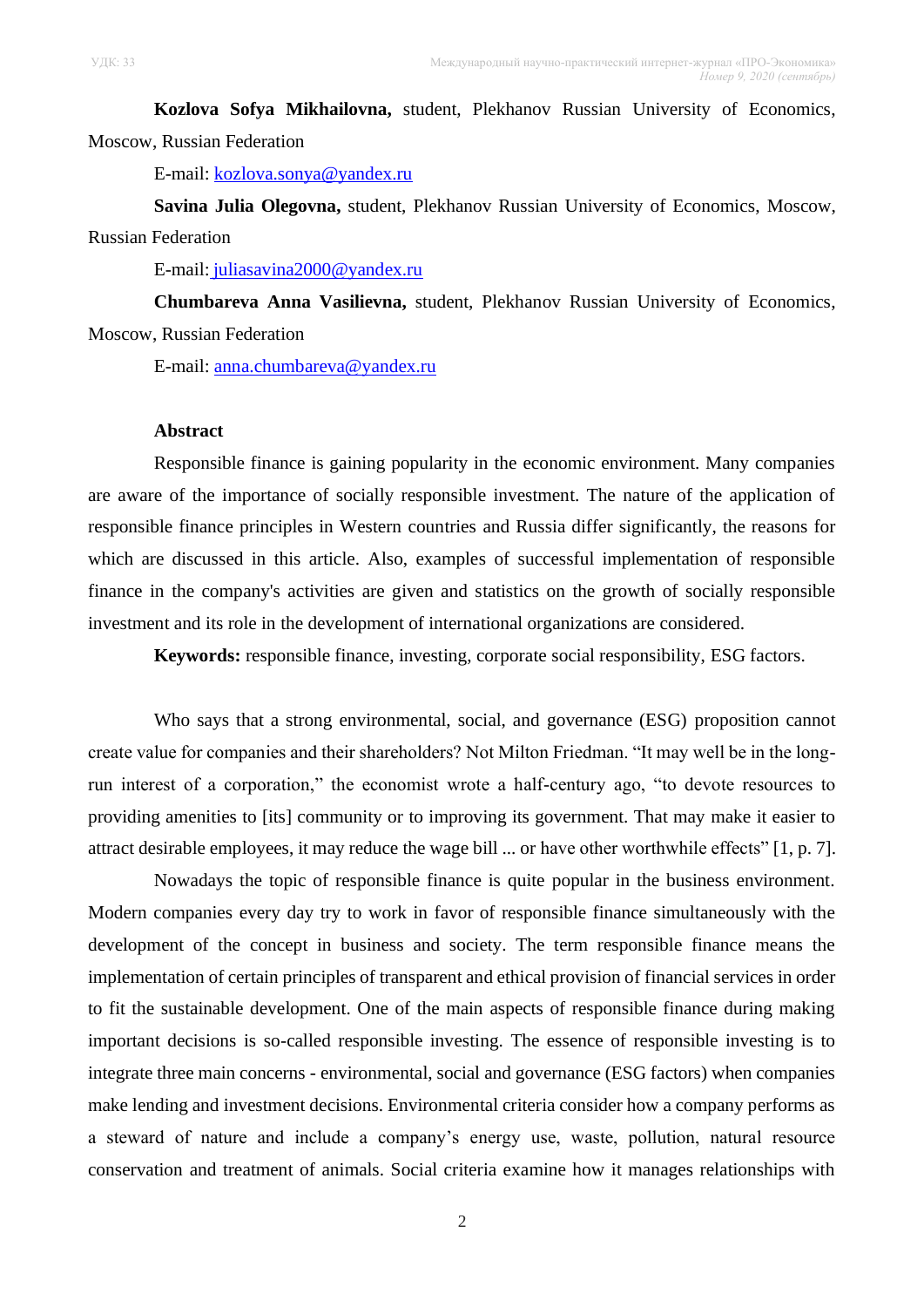**Kozlova Sofya Mikhailovna,** student, Plekhanov Russian University of Economics, Moscow, Russian Federation

E-mail: [kozlova.sonya@yandex.ru](mailto:kozlova.sonya@yandex.ru)

**Savina Julia Olegovna,** student, Plekhanov Russian University of Economics, Moscow, Russian Federation

E-mail: [juliasavina2000@yandex.ru](mailto:juliasavina2000@yandex.ru)

**Chumbareva Anna Vasilievna,** student, Plekhanov Russian University of Economics, Moscow, Russian Federation

E-mail: [anna.chumbareva@yandex.ru](mailto:anna.chumbareva@yandex.ru)

#### **Abstract**

Responsible finance is gaining popularity in the economic environment. Many companies are aware of the importance of socially responsible investment. The nature of the application of responsible finance principles in Western countries and Russia differ significantly, the reasons for which are discussed in this article. Also, examples of successful implementation of responsible finance in the company's activities are given and statistics on the growth of socially responsible investment and its role in the development of international organizations are considered.

**Keywords:** responsible finance, investing, corporate social responsibility, ESG factors.

Who says that a strong environmental, social, and governance (ESG) proposition cannot create value for companies and their shareholders? Not Milton Friedman. "It may well be in the longrun interest of a corporation," the economist wrote a half-century ago, "to devote resources to providing amenities to [its] community or to improving its government. That may make it easier to attract desirable employees, it may reduce the wage bill ... or have other worthwhile effects" [1, p. 7].

Nowadays the topic of responsible finance is quite popular in the business environment. Modern companies every day try to work in favor of responsible finance simultaneously with the development of the concept in business and society. The term responsible finance means the implementation of certain principles of transparent and ethical provision of financial services in order to fit the sustainable development. One of the main aspects of responsible finance during making important decisions is so-called responsible investing. The essence of responsible investing is to integrate three main concerns - environmental, social and governance (ESG factors) when companies make lending and investment decisions. Environmental criteria consider how a company performs as a steward of nature and include a company's energy use, waste, pollution, natural resource conservation and treatment of animals. Social criteria examine how it manages relationships with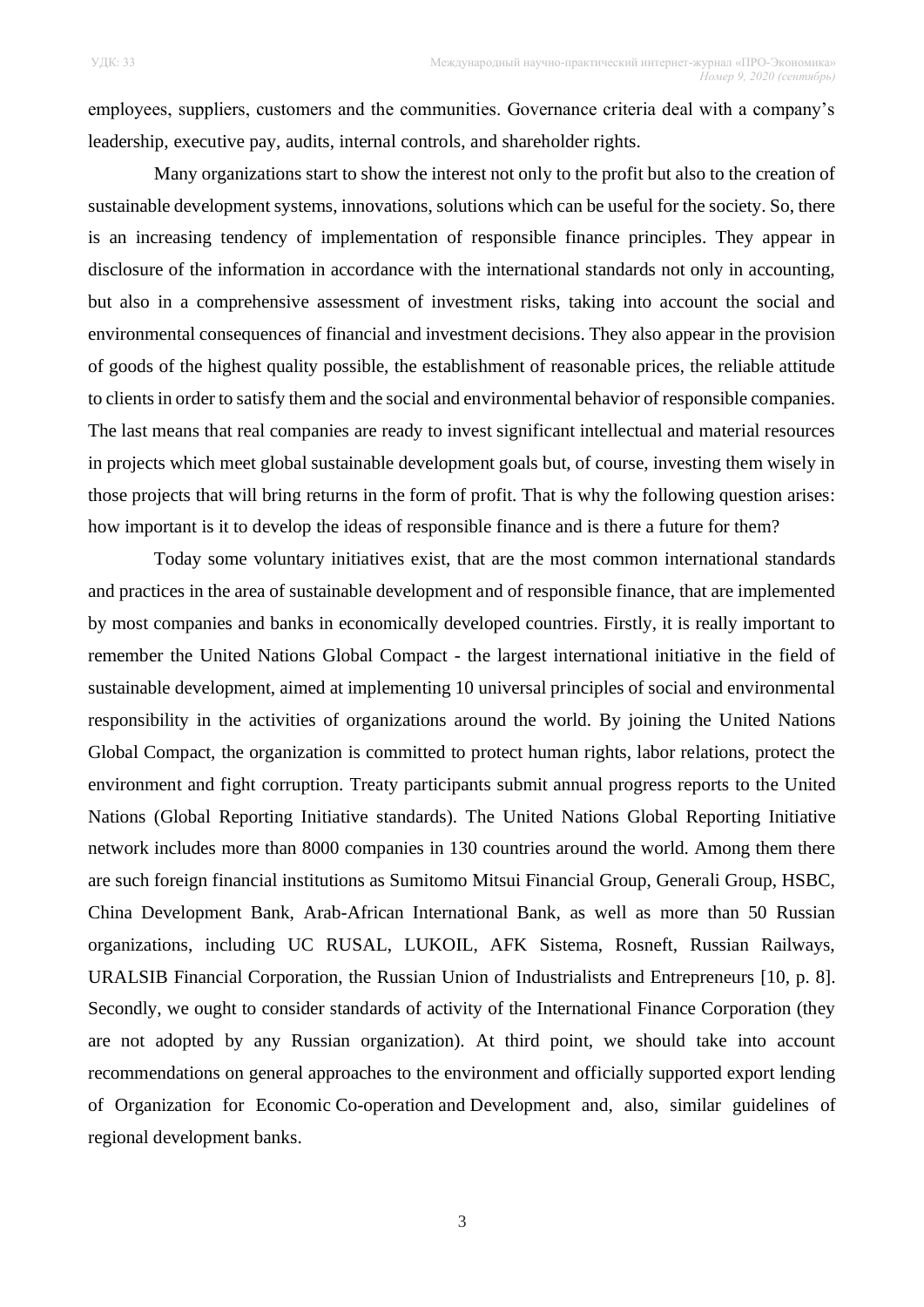employees, suppliers, customers and the communities. Governance criteria deal with a company's leadership, executive pay, audits, internal controls, and shareholder rights.

Many organizations start to show the interest not only to the profit but also to the creation of sustainable development systems, innovations, solutions which can be useful for the society. So, there is an increasing tendency of implementation of responsible finance principles. They appear in disclosure of the information in accordance with the international standards not only in accounting, but also in a comprehensive assessment of investment risks, taking into account the social and environmental consequences of financial and investment decisions. They also appear in the provision of goods of the highest quality possible, the establishment of reasonable prices, the reliable attitude to clients in order to satisfy them and the social and environmental behavior of responsible companies. The last means that real companies are ready to invest significant intellectual and material resources in projects which meet global sustainable development goals but, of course, investing them wisely in those projects that will bring returns in the form of profit. That is why the following question arises: how important is it to develop the ideas of responsible finance and is there a future for them?

Today some voluntary initiatives exist, that are the most common international standards and practices in the area of sustainable development and of responsible finance, that are implemented by most companies and banks in economically developed countries. Firstly, it is really important to remember the United Nations Global Compact - the largest international initiative in the field of sustainable development, aimed at implementing 10 universal principles of social and environmental responsibility in the activities of organizations around the world. By joining the United Nations Global Compact, the organization is committed to protect human rights, labor relations, protect the environment and fight corruption. Treaty participants submit annual progress reports to the United Nations (Global Reporting Initiative standards). The United Nations Global Reporting Initiative network includes more than 8000 companies in 130 countries around the world. Among them there are such foreign financial institutions as Sumitomo Mitsui Financial Group, Generali Group, HSBC, China Development Bank, Arab-African International Bank, as well as more than 50 Russian organizations, including UC RUSAL, LUKOIL, AFK Sistema, Rosneft, Russian Railways, URALSIB Financial Corporation, the Russian Union of Industrialists and Entrepreneurs [10, p. 8]. Secondly, we ought to consider standards of activity of the International Finance Corporation (they are not adopted by any Russian organization). At third point, we should take into account recommendations on general approaches to the environment and officially supported export lending of Organization for Economic Co-operation and Development and, also, similar guidelines of regional development banks.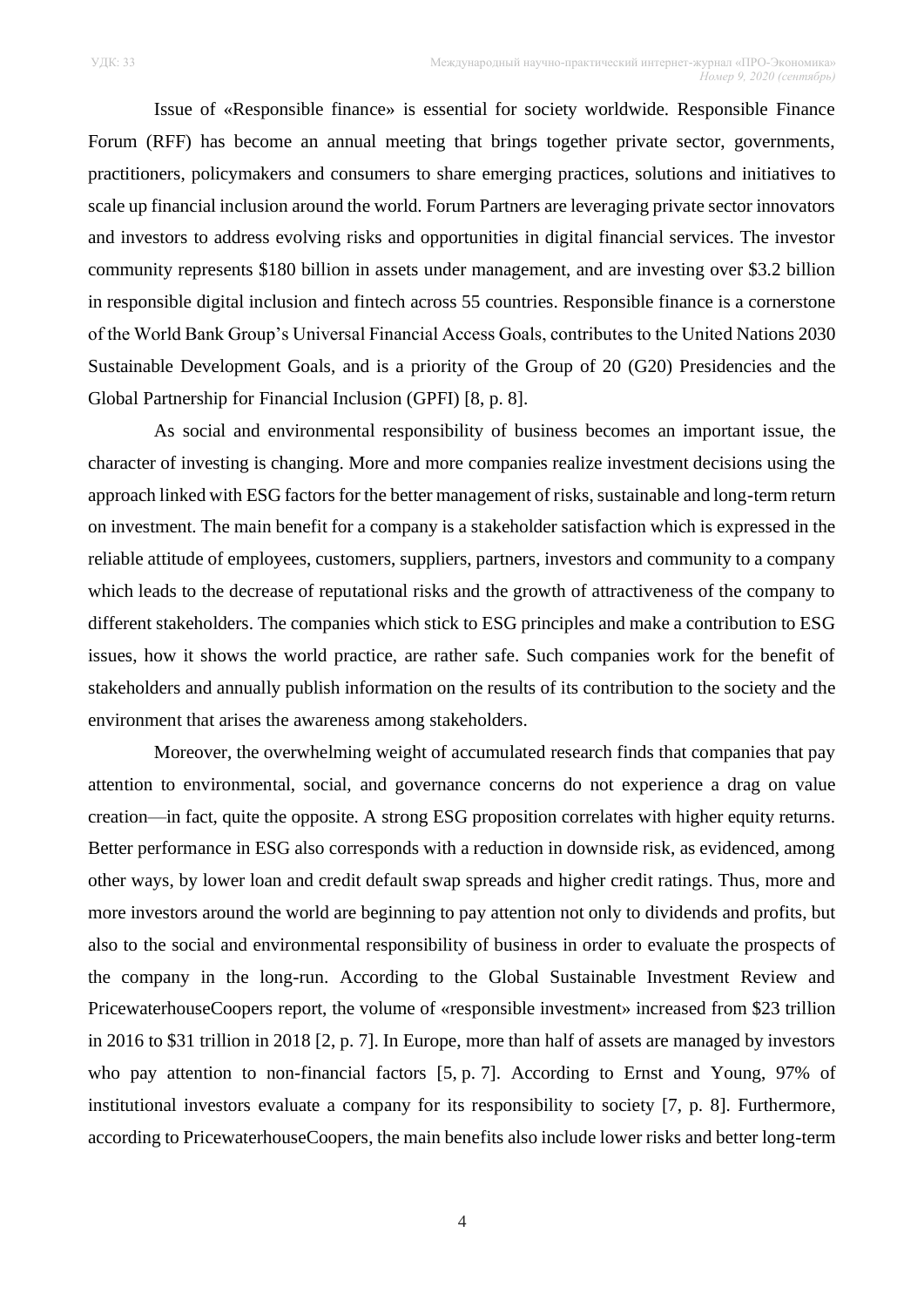Issue of «Responsible finance» is essential for society worldwide. Responsible Finance Forum (RFF) has become an annual meeting that brings together private sector, governments, practitioners, policymakers and consumers to share emerging practices, solutions and initiatives to scale up financial inclusion around the world. Forum Partners are leveraging private sector innovators and investors to address evolving risks and opportunities in digital financial services. The investor community represents \$180 billion in assets under management, and are investing over \$3.2 billion in responsible digital inclusion and fintech across 55 countries. Responsible finance is a cornerstone of the World Bank Group's Universal Financial Access Goals, contributes to the United Nations 2030 Sustainable Development Goals, and is a priority of the Group of 20 (G20) Presidencies and the Global Partnership for Financial Inclusion (GPFI) [8, p. 8].

As social and environmental responsibility of business becomes an important issue, the character of investing is changing. More and more companies realize investment decisions using the approach linked with ESG factors for the better management of risks, sustainable and long-term return on investment. The main benefit for a company is a stakeholder satisfaction which is expressed in the reliable attitude of employees, customers, suppliers, partners, investors and community to a company which leads to the decrease of reputational risks and the growth of attractiveness of the company to different stakeholders. The companies which stick to ESG principles and make a contribution to ESG issues, how it shows the world practice, are rather safe. Such companies work for the benefit of stakeholders and annually publish information on the results of its contribution to the society and the environment that arises the awareness among stakeholders.

Moreover, the overwhelming weight of accumulated research finds that companies that pay attention to environmental, social, and governance concerns do not experience a drag on value creation—in fact, quite the opposite. A strong ESG proposition correlates with higher equity returns. Better performance in ESG also corresponds with a reduction in downside risk, as evidenced, among other ways, by lower loan and credit default swap spreads and higher credit ratings. Thus, more and more investors around the world are beginning to pay attention not only to dividends and profits, but also to the social and environmental responsibility of business in order to evaluate the prospects of the company in the long-run. According to the Global Sustainable Investment Review and PricewaterhouseCoopers report, the volume of «responsible investment» increased from \$23 trillion in 2016 to \$31 trillion in 2018 [2, p. 7]. In Europe, more than half of assets are managed by investors who pay attention to non-financial factors [5, p. 7]. According to Ernst and Young, 97% of institutional investors evaluate a company for its responsibility to society [7, p. 8]. Furthermore, according to PricewaterhouseCoopers, the main benefits also include lower risks and better long-term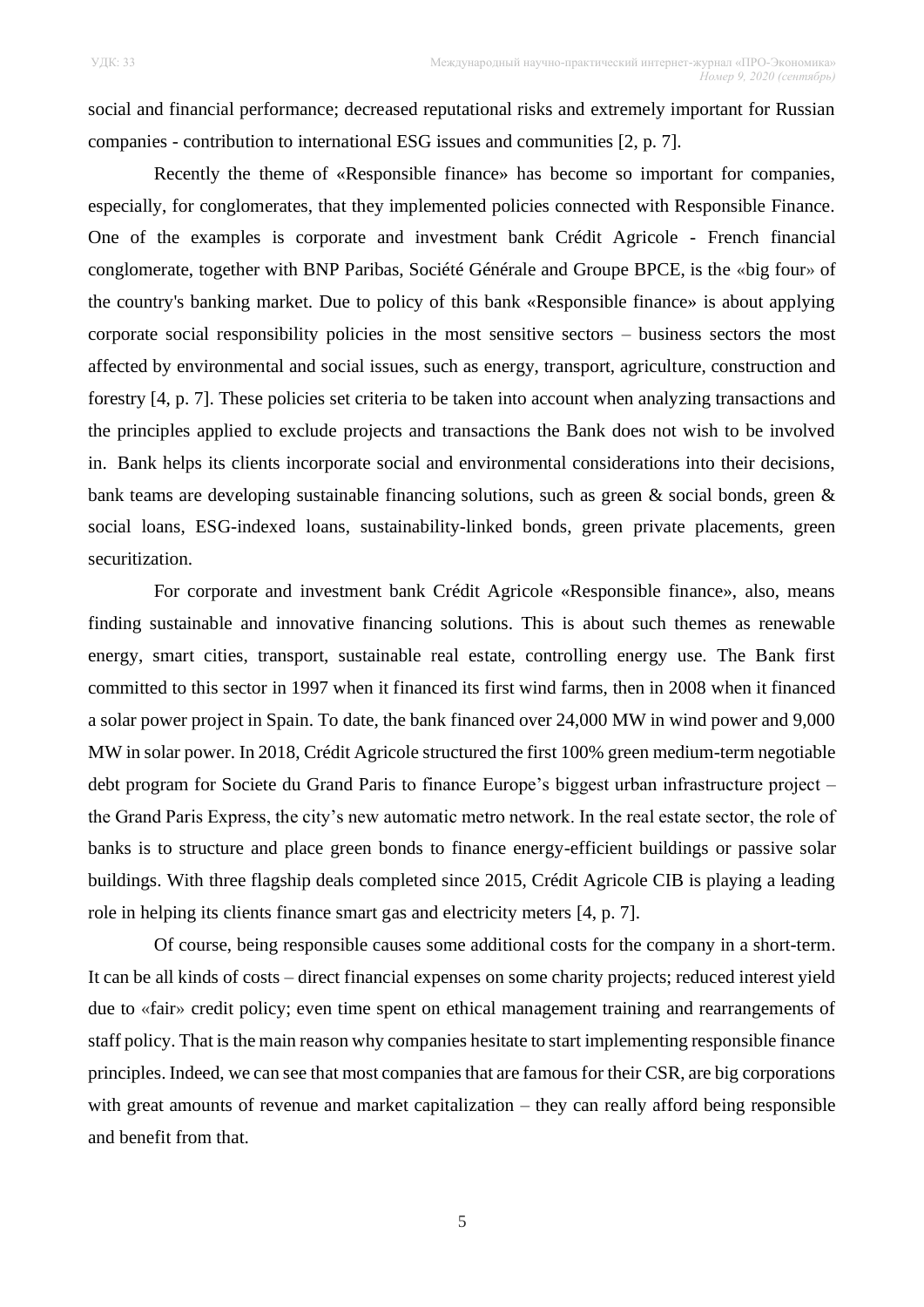social and financial performance; decreased reputational risks and extremely important for Russian companies - contribution to international ESG issues and communities [2, p. 7].

Recently the theme of «Responsible finance» has become so important for companies, especially, for conglomerates, that they implemented policies connected with Responsible Finance. One of the examples is corporate and investment bank Crédit Agricole - French financial conglomerate, together with BNP Paribas, Société Générale and Groupe BPCE, is the «big four» of the country's banking market. Due to policy of this bank «Responsible finance» is about applying corporate social responsibility policies in the most sensitive sectors – business sectors the most affected by environmental and social issues, such as energy, transport, agriculture, construction and forestry [4, p. 7]. These policies set criteria to be taken into account when analyzing transactions and the principles applied to exclude projects and transactions the Bank does not wish to be involved in. Bank helps its clients incorporate social and environmental considerations into their decisions, bank teams are developing sustainable financing solutions, such as green  $\&$  social bonds, green  $\&$ social loans, ESG-indexed loans, sustainability-linked bonds, green private placements, green securitization.

For corporate and investment bank Crédit Agricole «Responsible finance», also, means finding sustainable and innovative financing solutions. This is about such themes as renewable energy, smart cities, transport, sustainable real estate, controlling energy use. The Bank first committed to this sector in 1997 when it financed its first wind farms, then in 2008 when it financed a solar power project in Spain. To date, the bank financed over 24,000 MW in wind power and 9,000 MW in solar power. In 2018, Crédit Agricole structured the first 100% green medium-term negotiable debt program for Societe du Grand Paris to finance Europe's biggest urban infrastructure project – the Grand Paris Express, the city's new automatic metro network. In the real estate sector, the role of banks is to structure and place green bonds to finance energy-efficient buildings or passive solar buildings. With three flagship deals completed since 2015, Crédit Agricole CIB is playing a leading role in helping its clients finance smart gas and electricity meters [4, p. 7].

Of course, being responsible causes some additional costs for the company in a short-term. It can be all kinds of costs – direct financial expenses on some charity projects; reduced interest yield due to «fair» credit policy; even time spent on ethical management training and rearrangements of staff policy. That is the main reason why companies hesitate to start implementing responsible finance principles. Indeed, we can see that most companies that are famous for their CSR, are big corporations with great amounts of revenue and market capitalization – they can really afford being responsible and benefit from that.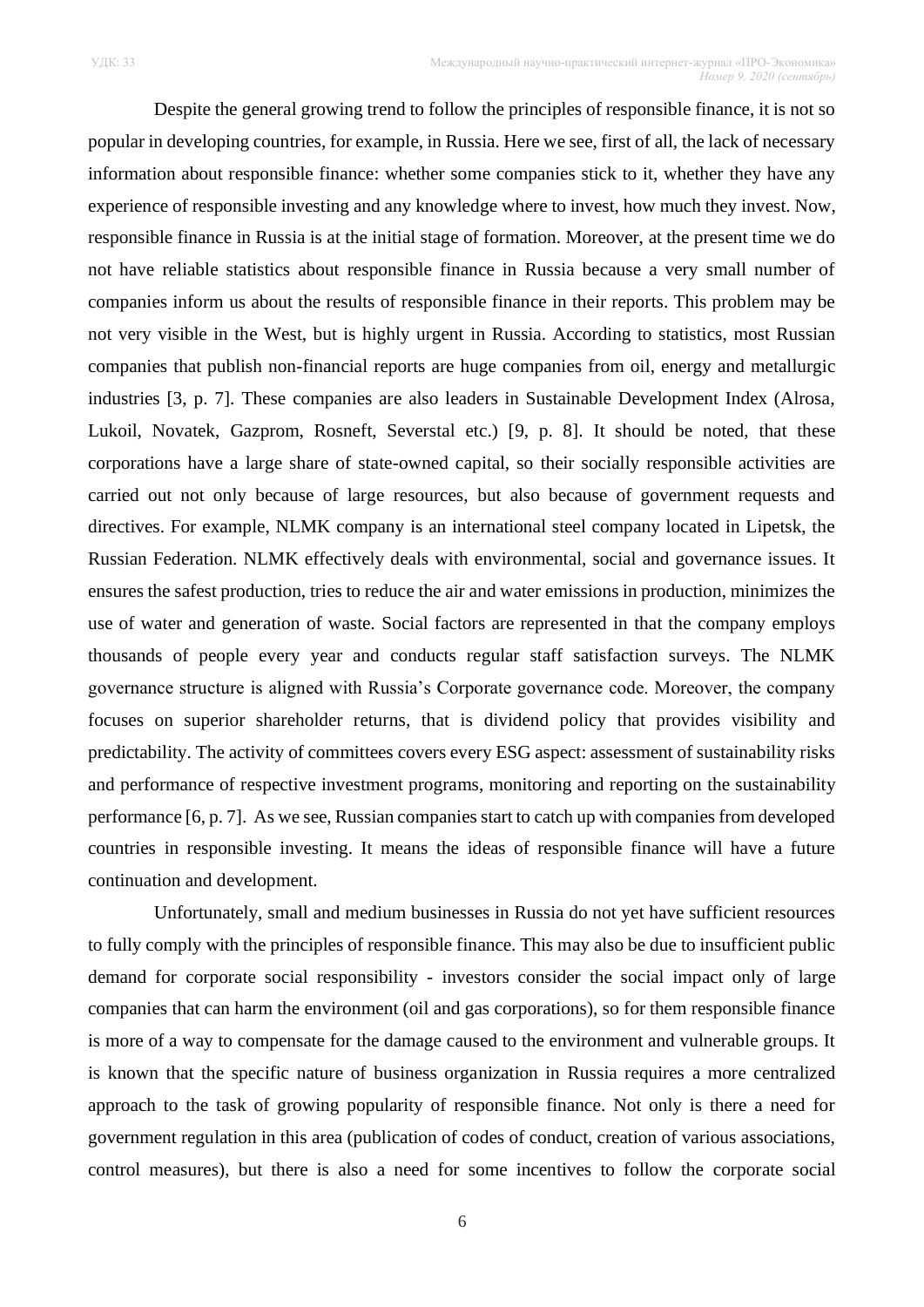Despite the general growing trend to follow the principles of responsible finance, it is not so popular in developing countries, for example, in Russia. Here we see, first of all, the lack of necessary information about responsible finance: whether some companies stick to it, whether they have any experience of responsible investing and any knowledge where to invest, how much they invest. Now, responsible finance in Russia is at the initial stage of formation. Moreover, at the present time we do not have reliable statistics about responsible finance in Russia because a very small number of companies inform us about the results of responsible finance in their reports. This problem may be not very visible in the West, but is highly urgent in Russia. According to statistics, most Russian companies that publish non-financial reports are huge companies from oil, energy and metallurgic industries [3, p. 7]. These companies are also leaders in Sustainable Development Index (Alrosa, Lukoil, Novatek, Gazprom, Rosneft, Severstal etc.) [9, p. 8]. It should be noted, that these corporations have a large share of state-owned capital, so their socially responsible activities are carried out not only because of large resources, but also because of government requests and directives. For example, NLMK company is an international steel company located in Lipetsk, the Russian Federation. NLMK effectively deals with environmental, social and governance issues. It ensures the safest production, tries to reduce the air and water emissions in production, minimizes the use of water and generation of waste. Social factors are represented in that the company employs thousands of people every year and conducts regular staff satisfaction surveys. The NLMK governance structure is aligned with Russia's Corporate governance code. Moreover, the company focuses on superior shareholder returns, that is dividend policy that provides visibility and predictability. The activity of committees covers every ESG aspect: assessment of sustainability risks and performance of respective investment programs, monitoring and reporting on the sustainability performance [6, p. 7]. As we see, Russian companies start to catch up with companies from developed countries in responsible investing. It means the ideas of responsible finance will have a future continuation and development.

Unfortunately, small and medium businesses in Russia do not yet have sufficient resources to fully comply with the principles of responsible finance. This may also be due to insufficient public demand for corporate social responsibility - investors consider the social impact only of large companies that can harm the environment (oil and gas corporations), so for them responsible finance is more of a way to compensate for the damage caused to the environment and vulnerable groups. It is known that the specific nature of business organization in Russia requires a more centralized approach to the task of growing popularity of responsible finance. Not only is there a need for government regulation in this area (publication of codes of conduct, creation of various associations, control measures), but there is also a need for some incentives to follow the corporate social

6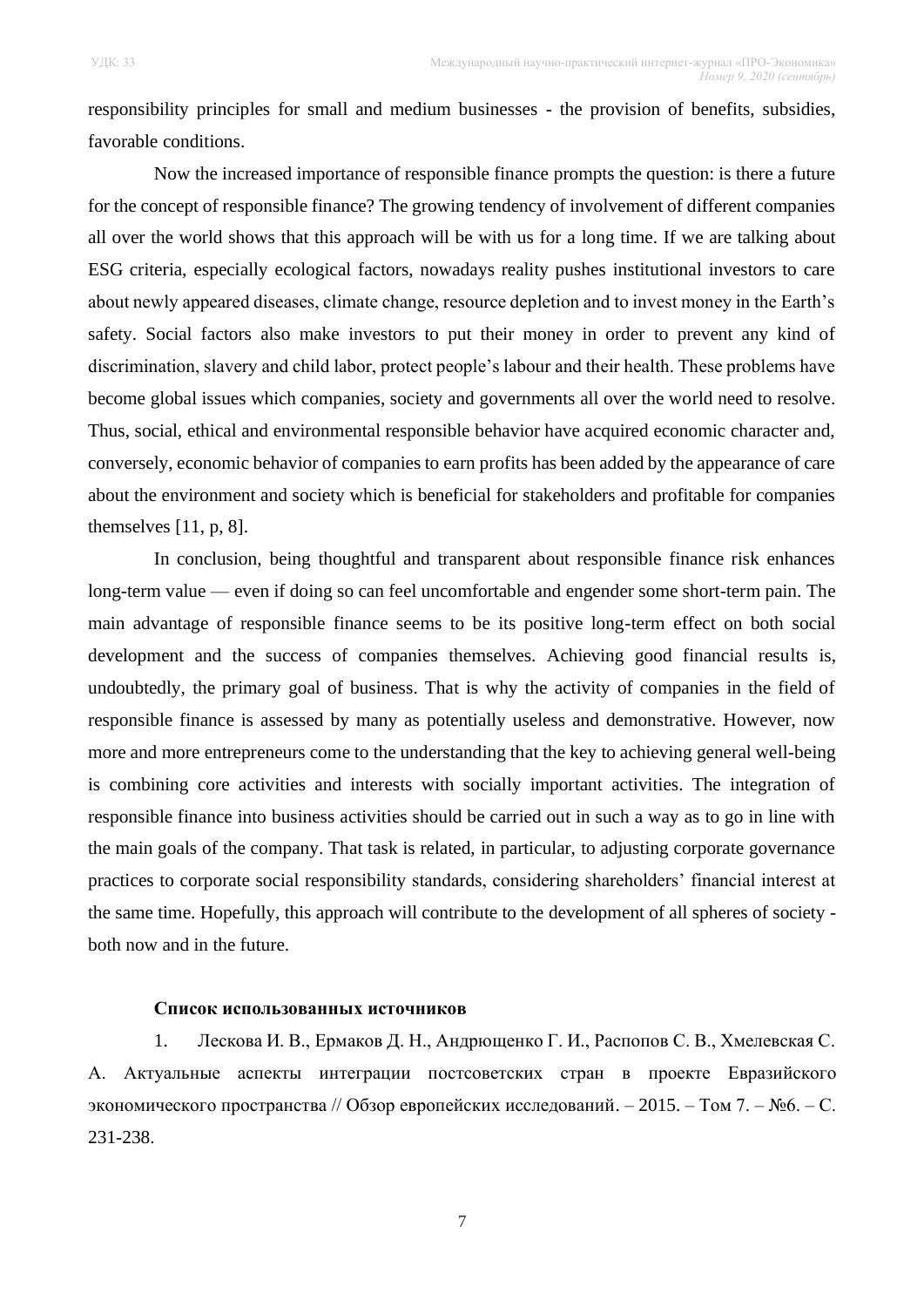responsibility principles for small and medium businesses - the provision of benefits, subsidies, favorable conditions.

Now the increased importance of responsible finance prompts the question: is there a future for the concept of responsible finance? The growing tendency of involvement of different companies all over the world shows that this approach will be with us for a long time. If we are talking about ESG criteria, especially ecological factors, nowadays reality pushes institutional investors to care about newly appeared diseases, climate change, resource depletion and to invest money in the Earth's safety. Social factors also make investors to put their money in order to prevent any kind of discrimination, slavery and child labor, protect people's labour and their health. These problems have become global issues which companies, society and governments all over the world need to resolve. Thus, social, ethical and environmental responsible behavior have acquired economic character and, conversely, economic behavior of companies to earn profits has been added by the appearance of care about the environment and society which is beneficial for stakeholders and profitable for companies themselves [11, p, 8].

In conclusion, being thoughtful and transparent about responsible finance risk enhances long-term value — even if doing so can feel uncomfortable and engender some short-term pain. The main advantage of responsible finance seems to be its positive long-term effect on both social development and the success of companies themselves. Achieving good financial results is, undoubtedly, the primary goal of business. That is why the activity of companies in the field of responsible finance is assessed by many as potentially useless and demonstrative. However, now more and more entrepreneurs come to the understanding that the key to achieving general well-being is combining core activities and interests with socially important activities. The integration of responsible finance into business activities should be carried out in such a way as to go in line with the main goals of the company. That task is related, in particular, to adjusting corporate governance practices to corporate social responsibility standards, considering shareholders' financial interest at the same time. Hopefully, this approach will contribute to the development of all spheres of society both now and in the future.

## **Список использованных источников**

1. Лескова И. В., Ермаков Д. Н., Андрющенко Г. И., Распопов С. В., Хмелевская С. А. Актуальные аспекты интеграции постсоветских стран в проекте Евразийского экономического пространства // Обзор европейских исследований. – 2015. – Том 7. – №6. – С. 231-238.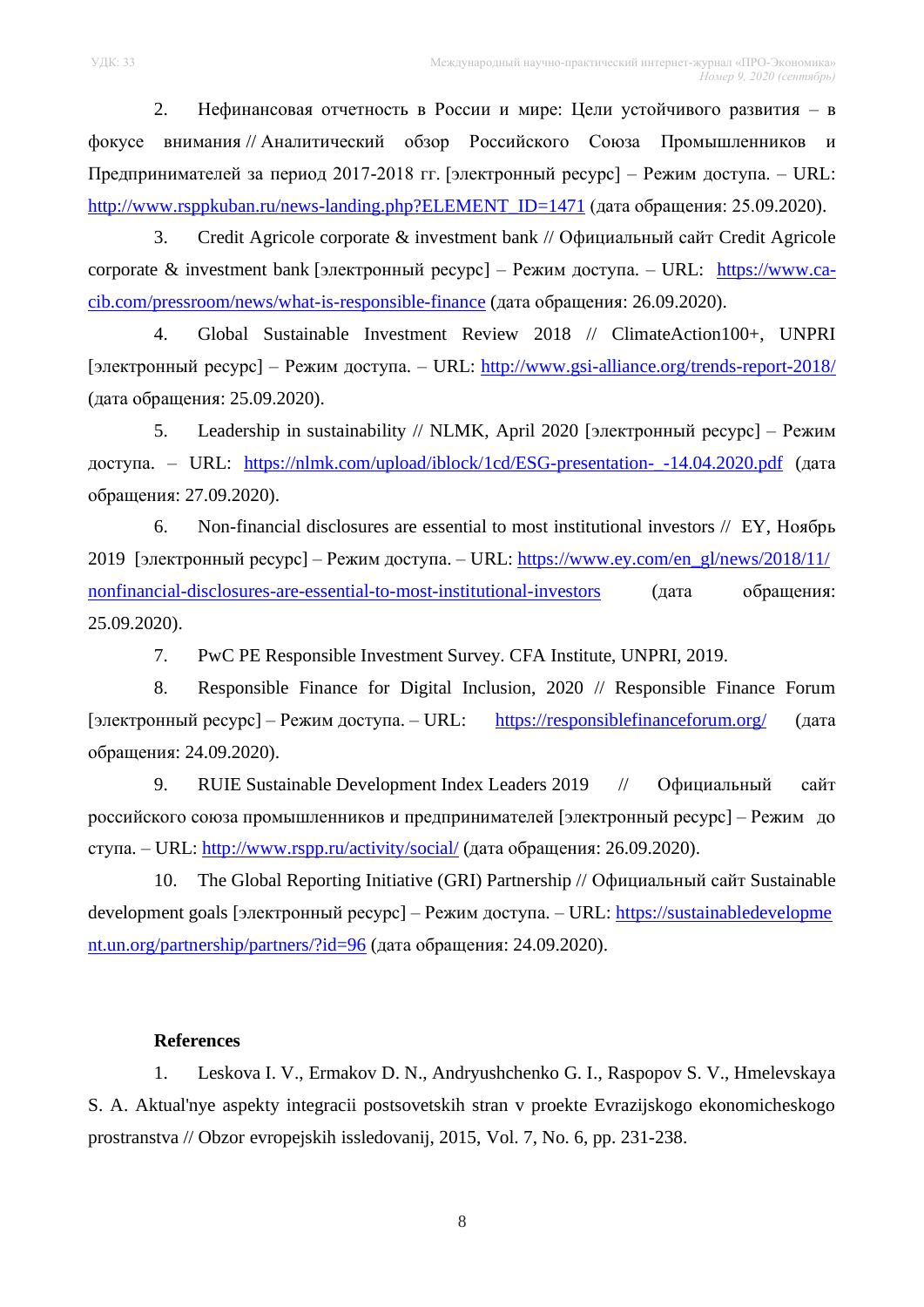2. Нефинансовая отчетность в России и мире: Цели устойчивого развития – в фокусе внимания // Аналитический обзор Российского Союза Промышленников и Предпринимателей за период 2017-2018 гг. [электронный ресурс] – Режим доступа. – URL: [http://www.rsppkuban.ru/news-landing.php?ELEMENT\\_ID=1471](http://www.rsppkuban.ru/news-landing.php?ELEMENT_ID=1471) (дата обращения: 25.09.2020).

3. Credit Agricole corporate & investment bank // Официальный сайт Credit Agricole corporate & investment bank [электронный ресурс] – Режим доступа. – URL: [https://www.ca](https://www.ca-cib.com/pressroom/news/what-is-responsible-finance)[cib.com/pressroom/news/what-is-responsible-finance](https://www.ca-cib.com/pressroom/news/what-is-responsible-finance) (дата обращения: 26.09.2020).

4. Global Sustainable Investment Review 2018 // ClimateAction100+, UNPRI [электронный ресурс] – Режим доступа. – URL: <http://www.gsi-alliance.org/trends-report-2018/> (дата обращения: 25.09.2020).

5. Leadership in sustainability // NLMK, April 2020 [электронный ресурс] – Режим доступа. – URL: [https://nlmk.com/upload/iblock/1cd/ESG-presentation-\\_-14.04.2020.pdf](https://nlmk.com/upload/iblock/1cd/ESG-presentation-_-14.04.2020.pdf) (дата обращения: 27.09.2020).

6. Non-financial disclosures are essential to most institutional investors // EY, Ноябрь 2019 [электронный ресурс] – Режим доступа. – URL: [https://www.ey.com/en\\_gl/news/2018/11/](https://www.ey.com/en_gl/news/2018/11/nonfinancial-disclosures-are-essential-to-most-institutional-investors) [nonfinancial-disclosures-are-essential-to-most-institutional-investors](https://www.ey.com/en_gl/news/2018/11/nonfinancial-disclosures-are-essential-to-most-institutional-investors) (дата обращения: 25.09.2020).

7. PwC PE Responsible Investment Survey. CFA Institute, UNPRI, 2019.

8. Responsible Finance for Digital Inclusion, 2020 // Responsible Finance Forum [электронный ресурс] – Режим доступа. – URL: <https://responsiblefinanceforum.org/> (дата обращения: 24.09.2020).

9. RUIE Sustainable Development Index Leaders 2019 // Официальный сайт российского союза промышленников и предпринимателей [электронный ресурс] – Режим до ступа. – URL: <http://www.rspp.ru/activity/social/> (дата обращения: 26.09.2020).

10. The Global Reporting Initiative (GRI) Partnership // Официальный сайт Sustainable development goals [электронный ресурс] – Режим доступа. – URL: [https://sustainabledevelopme](https://sustainabledevelopment.un.org/partnership/partners/?id=96) [nt.un.org/partnership/partners/?id=96](https://sustainabledevelopment.un.org/partnership/partners/?id=96) (дата обращения: 24.09.2020).

### **References**

1. Leskova I. V., Ermakov D. N., Andryushchenko G. I., Raspopov S. V., Hmelevskaya S. A. Aktual'nye aspekty integracii postsovetskih stran v proekte Evrazijskogo ekonomicheskogo prostranstva // Obzor evropejskih issledovanij, 2015, Vol. 7, No. 6, pp. 231-238.

8